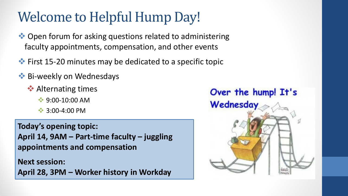# Welcome to Helpful Hump Day!

- ◆ Open forum for asking questions related to administering faculty appointments, compensation, and other events
- **\*** First 15-20 minutes may be dedicated to a specific topic
- **Bi-weekly on Wednesdays** 
	- **◆ Alternating times** 
		- $\cdot$  9:00-10:00 AM
		- $\cdot$  3:00-4:00 PM

**Today's opening topic: April 14, 9AM – Part-time faculty – juggling appointments and compensation**

**Next session: April 28, 3PM – Worker history in Workday**

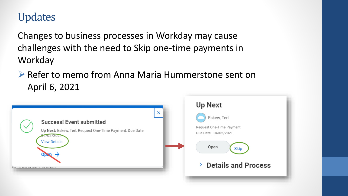### Updates

Changes to business processes in Workday may cause challenges with the need to Skip one-time payments in Workday

▶ Refer to memo from Anna Maria Hummerstone sent on April 6, 2021

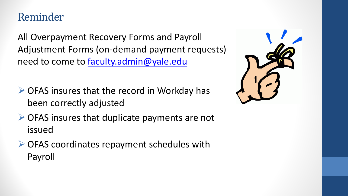### Reminder

All Overpayment Recovery Forms and Payroll Adjustment Forms (on-demand payment requests) need to come to [faculty.admin@yale.edu](mailto:faculty.admin@yale.edu)

- ▶ OFAS insures that the record in Workday has been correctly adjusted
- **▶ OFAS insures that duplicate payments are not** issued
- **▶ OFAS coordinates repayment schedules with** Payroll

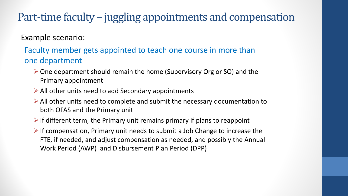Example scenario:

#### Faculty member gets appointed to teach one course in more than one department

- $\triangleright$  One department should remain the home (Supervisory Org or SO) and the Primary appointment
- $\triangleright$  All other units need to add Secondary appointments
- $\triangleright$  All other units need to complete and submit the necessary documentation to both OFAS and the Primary unit
- $\triangleright$  If different term, the Primary unit remains primary if plans to reappoint
- $\triangleright$  If compensation, Primary unit needs to submit a Job Change to increase the FTE, if needed, and adjust compensation as needed, and possibly the Annual Work Period (AWP) and Disbursement Plan Period (DPP)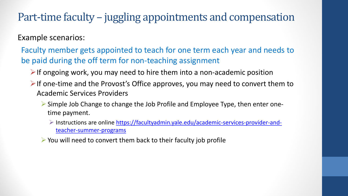Example scenarios:

Faculty member gets appointed to teach for one term each year and needs to be paid during the off term for non-teaching assignment

- $\triangleright$  If ongoing work, you may need to hire them into a non-academic position
- $\triangleright$  If one-time and the Provost's Office approves, you may need to convert them to Academic Services Providers
	- Simple Job Change to change the Job Profile and Employee Type, then enter onetime payment.
		- $\triangleright$  Instructions are online [https://facultyadmin.yale.edu/academic-services-provider-and](https://facultyadmin.yale.edu/academic-services-provider-and-teacher-summer-programs)teacher-summer-programs
	- $\triangleright$  You will need to convert them back to their faculty job profile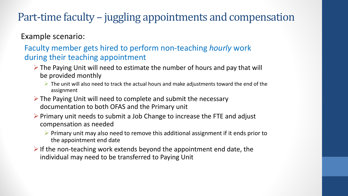Example scenario:

Faculty member gets hired to perform non-teaching *hourly* work during their teaching appointment

- $\triangleright$  The Paying Unit will need to estimate the number of hours and pay that will be provided monthly
	- $\triangleright$  The unit will also need to track the actual hours and make adjustments toward the end of the assignment
- The Paying Unit will need to complete and submit the necessary documentation to both OFAS and the Primary unit
- $\triangleright$  Primary unit needs to submit a Job Change to increase the FTE and adjust compensation as needed
	- $\triangleright$  Primary unit may also need to remove this additional assignment if it ends prior to the appointment end date
- $\triangleright$  If the non-teaching work extends beyond the appointment end date, the individual may need to be transferred to Paying Unit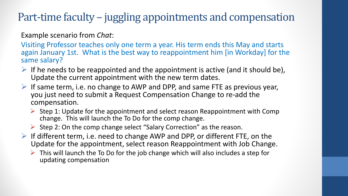Example scenario from *Chat*:

Visiting Professor teaches only one term a year. His term ends this May and starts again January 1st. What is the best way to reappointment him [in Workday] for the same salary?

- If he needs to be reappointed and the appointment is active (and it should be), Update the current appointment with the new term dates.
- $\triangleright$  If same term, i.e. no change to AWP and DPP, and same FTE as previous year, you just need to submit a Request Compensation Change to re-add the compensation.
	- $\triangleright$  Step 1: Update for the appointment and select reason Reappointment with Comp change. This will launch the To Do for the comp change.
	- Step 2: On the comp change select "Salary Correction" as the reason.
- $\triangleright$  If different term, i.e. need to change AWP and DPP, or different FTE, on the Update for the appointment, select reason Reappointment with Job Change.
	- $\triangleright$  This will launch the To Do for the job change which will also includes a step for updating compensation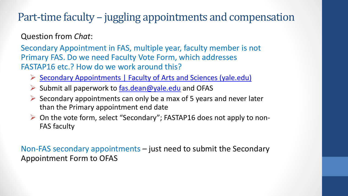Question from *Chat*:

Secondary Appointment in FAS, multiple year, faculty member is not Primary FAS. Do we need Faculty Vote Form, which addresses FASTAP16 etc.? How do we work around this?

- [Secondary Appointments | Faculty of Arts and Sciences \(yale.edu\)](https://fas.yale.edu/book/secondary-appointments)
- $\triangleright$  Submit all paperwork to [fas.dean@yale.edu](mailto:fas.dean@yale.edu) and OFAS
- $\triangleright$  Secondary appointments can only be a max of 5 years and never later than the Primary appointment end date
- $\triangleright$  On the vote form, select "Secondary"; FASTAP16 does not apply to non-FAS faculty

Non-FAS secondary appointments – just need to submit the Secondary Appointment Form to OFAS